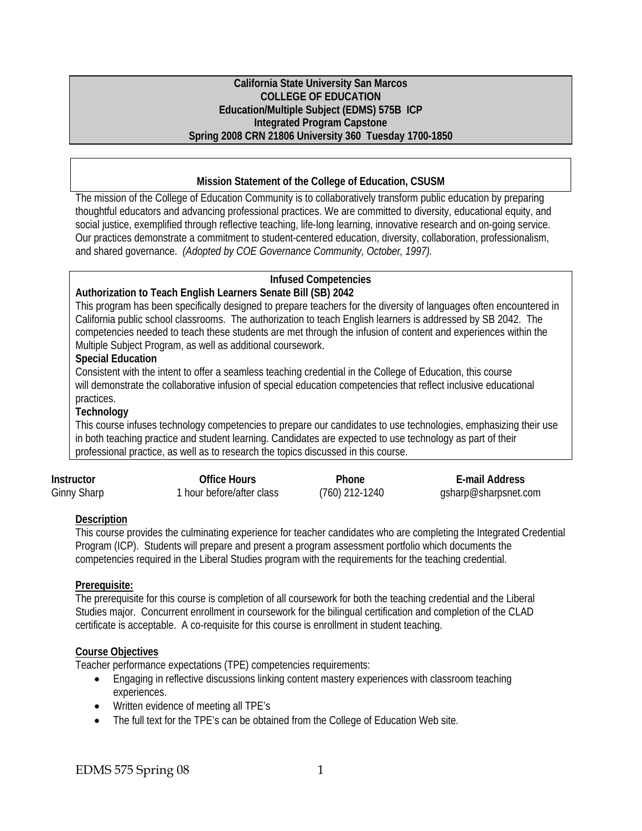#### **California State University San Marcos COLLEGE OF EDUCATION Education/Multiple Subject (EDMS) 575B ICP Integrated Program Capstone Spring 2008 CRN 21806 University 360 Tuesday 1700-1850**

#### **Mission Statement of the College of Education, CSUSM**

The mission of the College of Education Community is to collaboratively transform public education by preparing thoughtful educators and advancing professional practices. We are committed to diversity, educational equity, and social justice, exemplified through reflective teaching, life-long learning, innovative research and on-going service. Our practices demonstrate a commitment to student-centered education, diversity, collaboration, professionalism, and shared governance. *(Adopted by COE Governance Community, October, 1997).* 

## **Infused Competencies**

#### **Authorization to Teach English Learners Senate Bill (SB) 2042**

This program has been specifically designed to prepare teachers for the diversity of languages often encountered in California public school classrooms. The authorization to teach English learners is addressed by SB 2042. The competencies needed to teach these students are met through the infusion of content and experiences within the Multiple Subject Program, as well as additional coursework.

#### **Special Education**

Consistent with the intent to offer a seamless teaching credential in the College of Education, this course will demonstrate the collaborative infusion of special education competencies that reflect inclusive educational practices.

#### **Technology**

This course infuses technology competencies to prepare our candidates to use technologies, emphasizing their use in both teaching practice and student learning. Candidates are expected to use technology as part of their professional practice, as well as to research the topics discussed in this course.

| <b>Instructor</b>  | Office Hours              | Phone            | E-mail Address       |
|--------------------|---------------------------|------------------|----------------------|
| <b>Ginny Sharp</b> | 1 hour before/after class | $(760)$ 212-1240 | gsharp@sharpsnet.com |

#### **Description**

This course provides the culminating experience for teacher candidates who are completing the Integrated Credential Program (ICP). Students will prepare and present a program assessment portfolio which documents the competencies required in the Liberal Studies program with the requirements for the teaching credential.

#### **Prerequisite:**

The prerequisite for this course is completion of all coursework for both the teaching credential and the Liberal Studies major. Concurrent enrollment in coursework for the bilingual certification and completion of the CLAD certificate is acceptable. A co-requisite for this course is enrollment in student teaching.

#### **Course Objectives**

Teacher performance expectations (TPE) competencies requirements:

- Engaging in reflective discussions linking content mastery experiences with classroom teaching experiences.
- Written evidence of meeting all TPE's
- The full text for the TPE's can be obtained from the College of Education Web site.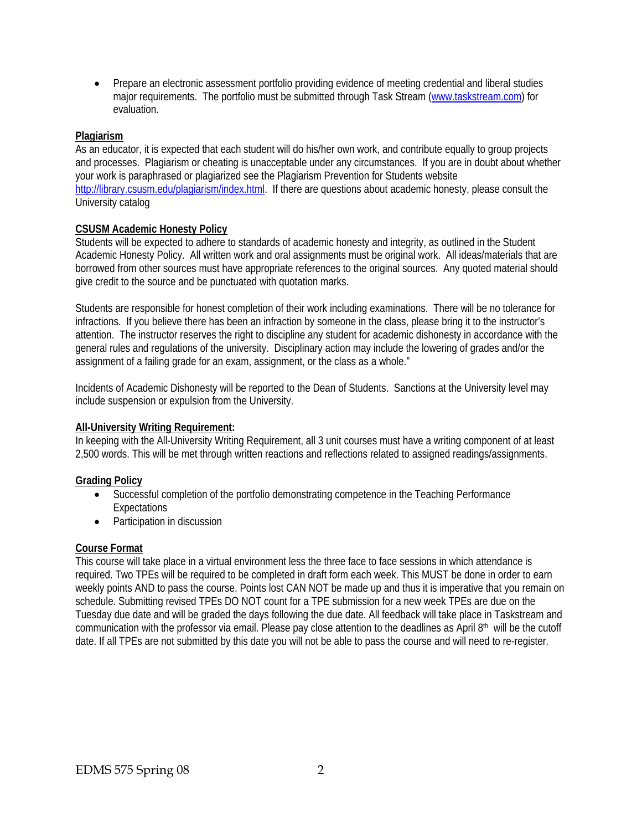• Prepare an electronic assessment portfolio providing evidence of meeting credential and liberal studies major requirements. The portfolio must be submitted through Task Stream (www.taskstream.com) for evaluation.

#### **Plagiarism**

As an educator, it is expected that each student will do his/her own work, and contribute equally to group projects and processes. Plagiarism or cheating is unacceptable under any circumstances. If you are in doubt about whether your work is paraphrased or plagiarized see the Plagiarism Prevention for Students website http://library.csusm.edu/plagiarism/index.html. If there are questions about academic honesty, please consult the University catalog

#### **CSUSM Academic Honesty Policy**

Students will be expected to adhere to standards of academic honesty and integrity, as outlined in the Student Academic Honesty Policy. All written work and oral assignments must be original work. All ideas/materials that are borrowed from other sources must have appropriate references to the original sources. Any quoted material should give credit to the source and be punctuated with quotation marks.

Students are responsible for honest completion of their work including examinations. There will be no tolerance for infractions. If you believe there has been an infraction by someone in the class, please bring it to the instructor's attention. The instructor reserves the right to discipline any student for academic dishonesty in accordance with the general rules and regulations of the university. Disciplinary action may include the lowering of grades and/or the assignment of a failing grade for an exam, assignment, or the class as a whole."

Incidents of Academic Dishonesty will be reported to the Dean of Students. Sanctions at the University level may include suspension or expulsion from the University.

#### **All-University Writing Requirement:**

In keeping with the All-University Writing Requirement, all 3 unit courses must have a writing component of at least 2,500 words. This will be met through written reactions and reflections related to assigned readings/assignments.

#### **Grading Policy**

- Successful completion of the portfolio demonstrating competence in the Teaching Performance Expectations
- Participation in discussion

#### **Course Format**

This course will take place in a virtual environment less the three face to face sessions in which attendance is required. Two TPEs will be required to be completed in draft form each week. This MUST be done in order to earn weekly points AND to pass the course. Points lost CAN NOT be made up and thus it is imperative that you remain on schedule. Submitting revised TPEs DO NOT count for a TPE submission for a new week TPEs are due on the Tuesday due date and will be graded the days following the due date. All feedback will take place in Taskstream and communication with the professor via email. Please pay close attention to the deadlines as April  $8th$  will be the cutoff date. If all TPEs are not submitted by this date you will not be able to pass the course and will need to re-register.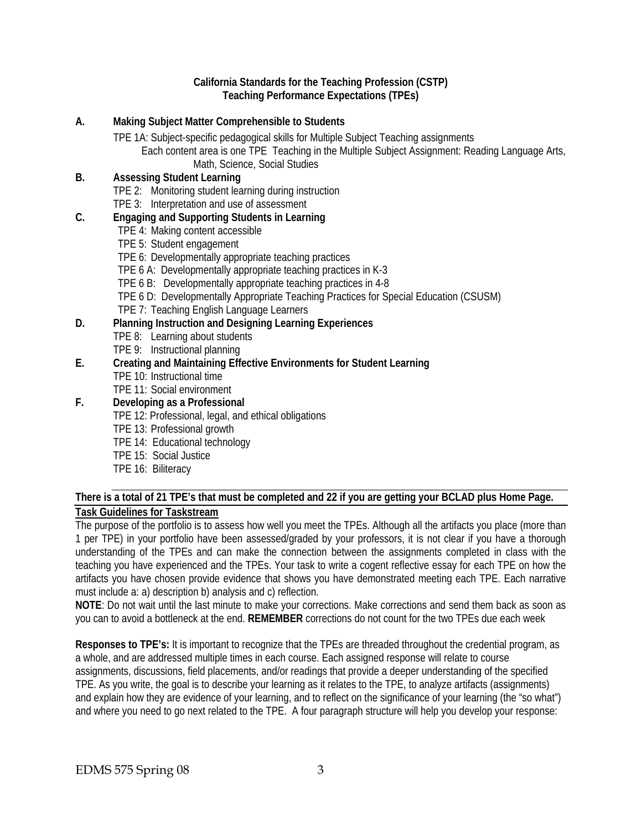#### **California Standards for the Teaching Profession (CSTP) Teaching Performance Expectations (TPEs)**

**A. Making Subject Matter Comprehensible to Students**  TPE 1A: Subject-specific pedagogical skills for Multiple Subject Teaching assignments Each content area is one TPE Teaching in the Multiple Subject Assignment: Reading Language Arts, Math, Science, Social Studies **B. Assessing Student Learning**  TPE 2: Monitoring student learning during instruction TPE 3: Interpretation and use of assessment **C. Engaging and Supporting Students in Learning**  TPE 4: Making content accessible TPE 5: Student engagement TPE 6: Developmentally appropriate teaching practices TPE 6 A: Developmentally appropriate teaching practices in K-3 TPE 6 B: Developmentally appropriate teaching practices in 4-8 TPE 6 D: Developmentally Appropriate Teaching Practices for Special Education (CSUSM) TPE 7: Teaching English Language Learners **D. Planning Instruction and Designing Learning Experiences**  TPE 8: Learning about students TPE 9: Instructional planning **E. Creating and Maintaining Effective Environments for Student Learning**  TPE 10: Instructional time TPE 11: Social environment **F. Developing as a Professional**  TPE 12: Professional, legal, and ethical obligations TPE 13: Professional growth TPE 14: Educational technology TPE 15: Social Justice TPE 16: Biliteracy

## **There is a total of 21 TPE's that must be completed and 22 if you are getting your BCLAD plus Home Page. Task Guidelines for Taskstream**

The purpose of the portfolio is to assess how well you meet the TPEs. Although all the artifacts you place (more than 1 per TPE) in your portfolio have been assessed/graded by your professors, it is not clear if you have a thorough understanding of the TPEs and can make the connection between the assignments completed in class with the teaching you have experienced and the TPEs. Your task to write a cogent reflective essay for each TPE on how the artifacts you have chosen provide evidence that shows you have demonstrated meeting each TPE. Each narrative must include a: a) description b) analysis and c) reflection.

**NOTE**: Do not wait until the last minute to make your corrections. Make corrections and send them back as soon as you can to avoid a bottleneck at the end. **REMEMBER** corrections do not count for the two TPEs due each week

**Responses to TPE's:** It is important to recognize that the TPEs are threaded throughout the credential program, as a whole, and are addressed multiple times in each course. Each assigned response will relate to course assignments, discussions, field placements, and/or readings that provide a deeper understanding of the specified TPE. As you write, the goal is to describe your learning as it relates to the TPE, to analyze artifacts (assignments) and explain how they are evidence of your learning, and to reflect on the significance of your learning (the "so what") and where you need to go next related to the TPE. A four paragraph structure will help you develop your response: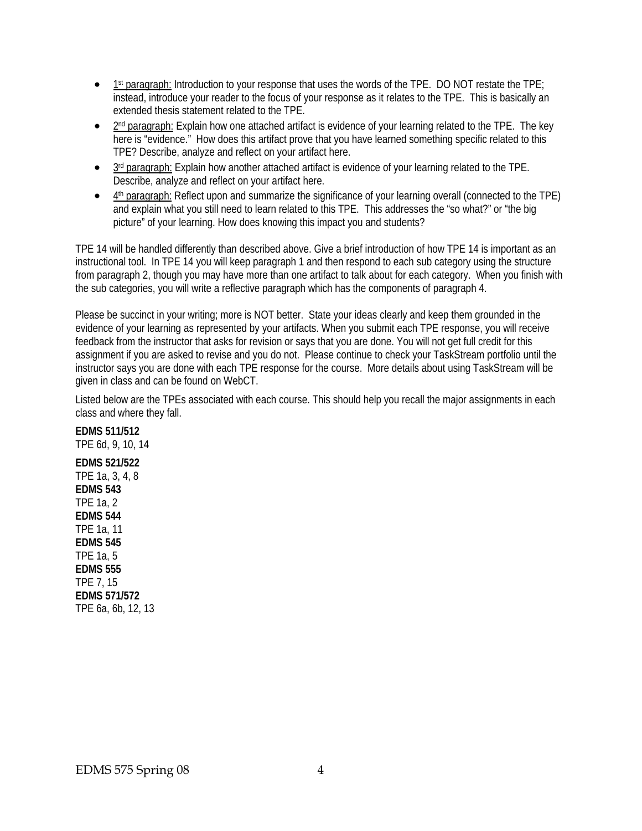- 1<sup>st</sup> paragraph: Introduction to your response that uses the words of the TPE. DO NOT restate the TPE; instead, introduce your reader to the focus of your response as it relates to the TPE. This is basically an extended thesis statement related to the TPE.
- $\bullet$  2<sup>nd</sup> paragraph: Explain how one attached artifact is evidence of your learning related to the TPE. The key here is "evidence." How does this artifact prove that you have learned something specific related to this TPE? Describe, analyze and reflect on your artifact here.
- 3rd paragraph: Explain how another attached artifact is evidence of your learning related to the TPE. Describe, analyze and reflect on your artifact here.
- 4th paragraph: Reflect upon and summarize the significance of your learning overall (connected to the TPE) and explain what you still need to learn related to this TPE. This addresses the "so what?" or "the big picture" of your learning. How does knowing this impact you and students?

TPE 14 will be handled differently than described above. Give a brief introduction of how TPE 14 is important as an instructional tool. In TPE 14 you will keep paragraph 1 and then respond to each sub category using the structure from paragraph 2, though you may have more than one artifact to talk about for each category. When you finish with the sub categories, you will write a reflective paragraph which has the components of paragraph 4.

Please be succinct in your writing; more is NOT better. State your ideas clearly and keep them grounded in the evidence of your learning as represented by your artifacts. When you submit each TPE response, you will receive feedback from the instructor that asks for revision or says that you are done. You will not get full credit for this assignment if you are asked to revise and you do not. Please continue to check your TaskStream portfolio until the instructor says you are done with each TPE response for the course. More details about using TaskStream will be given in class and can be found on WebCT.

Listed below are the TPEs associated with each course. This should help you recall the major assignments in each class and where they fall.

# **EDMS 511/512**

TPE 6d, 9, 10, 14

**EDMS 521/522** TPE 1a, 3, 4, 8 **EDMS 543** TPE 1a, 2 **EDMS 544** TPE 1a, 11 **EDMS 545** TPE 1a, 5 **EDMS 555** TPE 7, 15 **EDMS 571/572** TPE 6a, 6b, 12, 13